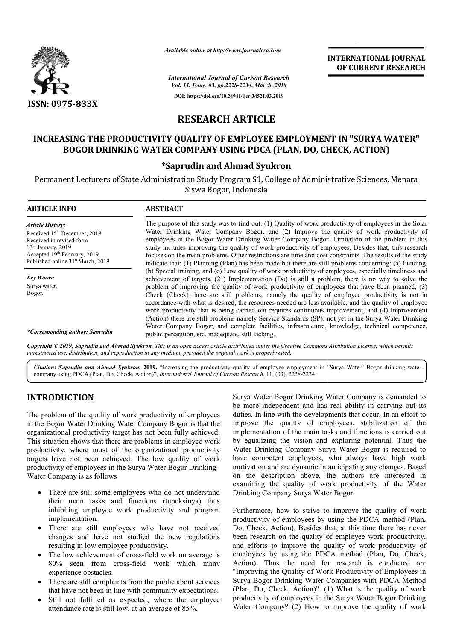

*Available online at http://www.journalcra.com*

**INTERNATIONAL JOURNAL OF CURRENT RESEARCH**

*International Journal of Current Research Vol. 11, Issue, 03, pp.2228-2234, March, 2019* **DOI: https://doi.org/10.24941/ijcr.34521.03.2019**

# **RESEARCH ARTICLE**

# **INCREASING THE PRODUCTIVITY QUALITY OF EMPLOYEE EMPLOYMENT IN "SURYA WATER" QUALITY EMPLOYEE EMPLOYMENT IN "SURYA WATER"** BOGOR DRINKING WATER COMPANY USING PDCA (PLAN, DO, CHECK, ACTION)

# **\* \*Saprudin and Ahmad Syukron**

Permanent Lecturers of State Administration Study Program S1, College of Administrative Sciences, Menara Siswa Bogor, Indonesia

| <b>ARTICLE INFO</b>                                                                                                                                                                                                  | <b>ABSTRACT</b>                                                                                                                                                                                                                                                                                                                                                                                                                                                                                                                                                                                                                                                                                                                      |
|----------------------------------------------------------------------------------------------------------------------------------------------------------------------------------------------------------------------|--------------------------------------------------------------------------------------------------------------------------------------------------------------------------------------------------------------------------------------------------------------------------------------------------------------------------------------------------------------------------------------------------------------------------------------------------------------------------------------------------------------------------------------------------------------------------------------------------------------------------------------------------------------------------------------------------------------------------------------|
| <b>Article History:</b><br>Received 15 <sup>th</sup> December, 2018<br>Received in revised form<br>$13th$ January, 2019<br>Accepted 19 <sup>th</sup> February, 2019<br>Published online 31 <sup>st</sup> March, 2019 | The purpose of this study was to find out: (1) Quality of work productivity of employees in the Solar<br>Water Drinking Water Company Bogor, and (2) Improve the quality of work productivity of<br>employees in the Bogor Water Drinking Water Company Bogor. Limitation of the problem in this<br>study includes improving the quality of work productivity of employees. Besides that, this research<br>focuses on the main problems. Other restrictions are time and cost constraints. The results of the study                                                                                                                                                                                                                  |
| <b>Key Words:</b><br>Surva water,<br>Bogor.                                                                                                                                                                          | indicate that: (1) Planning (Plan) has been made but there are still problems concerning: (a) Funding,<br>(b) Special training, and (c) Low quality of work productivity of employees, especially timeliness and<br>achievement of targets, (2) Implementation (Do) is still a problem, there is no way to solve the<br>problem of improving the quality of work productivity of employees that have been planned, (3)<br>Check (Check) there are still problems, namely the quality of employee productivity is not in<br>accordance with what is desired, the resources needed are less available, and the quality of employee<br>work productivity that is being carried out requires continuous improvement, and (4) Improvement |
| *Corresponding author: Saprudin                                                                                                                                                                                      | (Action) there are still problems namely Service Standards (SP): not yet in the Surya Water Drinking<br>Water Company Bogor, and complete facilities, infrastructure, knowledge, technical competence,<br>public perception, etc. inadequate, still lacking.                                                                                                                                                                                                                                                                                                                                                                                                                                                                         |

Copyright © 2019, Saprudin and Ahmad Syukron. This is an open access article distributed under the Creative Commons Attribution License, which permits *unrestricted use, distribution, and reproduction in any medium, provided the original work is properly cited.*

Citation: Saprudin and Ahmad Syukron, 2019. "Increasing the productivity quality of employee employment in "Surya Water" Bogor drinking water **Citation: Saprudin and Ahmad Syukron, 2019.** "Increasing the productivity quality of employee employment company using PDCA (Plan, Do, Check, Action)", *International Journal of Current Research*, 11, (03), 2228-2234.

# **INTRODUCTION**

The problem of the quality of work productivity of employees in the Bogor Water Drinking Water Company Bogor is that the organizational productivity target has not been fully achieved. This situation shows that there are problems in employee work productivity, where most of the organizational productivity targets have not been achieved. The low quality of work productivity of employees in the Surya Water Bogor Drinking Water Company is as follows

- There are still some employees who do not understand their main tasks and functions (tupoksinya) thus inhibiting employee work productivity and program implementation. re are still some employees who do not understand<br>r main tasks and functions (tupoksinya) thus<br>biting employee work productivity and program<br>lementation.<br>re are still employees who have not received<br>ages and have not studi
- There are still employees who have not received changes and have not studied the new regulations resulting in low employee productivity.
- The low achievement of cross-field work on average is 80% seen from cross-field work which many experience obstacles.
- There are still complaints from the public about services that have not been in line with community expectations.
- Still not fulfilled as expected, where the employee attendance rate is still low, at an average of 85%.

Surya Water Bogor Drinking Water Company is demanded to<br>
the more independent and has real is ulity in carrying out its<br>
than to the more independent and has real is ulity in carrying out its<br>
problems in employee work by be more independent and has real ability in carrying out its duties. In line with the developments that occur, In an effort to improve the quality of employees, stabilization of the implementation of the main tasks and functions is carried out by equalizing the vision and exploring potential. Thus the Water Drinking Company Surya Water Bogor is required to have competent employees, who always have high work motivation and are dynamic in anticipating any changes. Based on the description above, the authors are interested in examining the quality of work productivity of the Wate Drinking Company Surya Water Bogor. more independent and has real ability in carrying out its es. In line with the developments that occur, In an effort to rove the quality of employees, stabilization of the lementation of the main tasks and functions is car

Furthermore, how to strive to improve the quality of work productivity of employees by using the PDCA method (Plan, Do, Check, Action). Besides that, at this time there has never Furthermore, how to strive to improve the quality of work productivity of employees by using the PDCA method (Plan, Do, Check, Action). Besides that, at this time there has never been research on the quality of employee wo and efforts to improve the quality of work productivity of employees by using the PDCA method (Plan, Do, Check, Action). Thus the need for research is conducted on: "Improving the Quality of Work Productivity of Employees in Surya Bogor Drinking Water Companies with PDCA Method (Plan, Do, Check, Action)". (1) What is the quality of work productivity of employees in the Surya Water Bogor Drinking Water Company? (2) How to improve the quality of work employees by using the PDCA method (Plan, Do, Check, Action). Thus the need for research is conducted on: "Improving the Quality of Work Productivity of Employees in Surya Bogor Drinking Water Companies with PDCA Method (P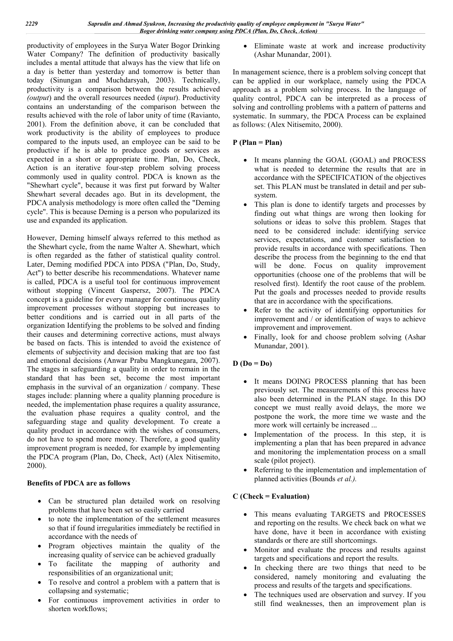productivity of employees in the Surya Water Bogor Drinking Water Company? The definition of productivity basically includes a mental attitude that always has the view that life on a day is better than yesterday and tomorrow is better than today (Sinungan and Muchdarsyah, 2003). Technically, productivity is a comparison between the results achieved *(output*) and the overall resources needed (*input*). Productivity contains an understanding of the comparison between the results achieved with the role of labor unity of time (Ravianto, 2001). From the definition above, it can be concluded that work productivity is the ability of employees to produce compared to the inputs used, an employee can be said to be productive if he is able to produce goods or services as expected in a short or appropriate time. Plan, Do, Check, Action is an iterative four-step problem solving process commonly used in quality control. PDCA is known as the "Shewhart cycle", because it was first put forward by Walter Shewhart several decades ago. But in its development, the PDCA analysis methodology is more often called the "Deming cycle". This is because Deming is a person who popularized its use and expanded its application.

However, Deming himself always referred to this method as the Shewhart cycle, from the name Walter A. Shewhart, which is often regarded as the father of statistical quality control. Later, Deming modified PDCA into PDSA ("Plan, Do, Study, Act") to better describe his recommendations. Whatever name is called, PDCA is a useful tool for continuous improvement without stopping (Vincent Gaspersz, 2007). The PDCA concept is a guideline for every manager for continuous quality improvement processes without stopping but increases to better conditions and is carried out in all parts of the organization Identifying the problems to be solved and finding their causes and determining corrective actions, must always be based on facts. This is intended to avoid the existence of elements of subjectivity and decision making that are too fast and emotional decisions (Anwar Prabu Mangkunegara, 2007). The stages in safeguarding a quality in order to remain in the standard that has been set, become the most important emphasis in the survival of an organization / company. These stages include: planning where a quality planning procedure is needed, the implementation phase requires a quality assurance, the evaluation phase requires a quality control, and the safeguarding stage and quality development. To create a quality product in accordance with the wishes of consumers, do not have to spend more money. Therefore, a good quality improvement program is needed, for example by implementing the PDCA program (Plan, Do, Check, Act) (Alex Nitisemito, 2000).

#### **Benefits of PDCA are as follows**

- Can be structured plan detailed work on resolving problems that have been set so easily carried
- to note the implementation of the settlement measures so that if found irregularities immediately be rectified in accordance with the needs of
- Program objectives maintain the quality of the increasing quality of service can be achieved gradually
- To facilitate the mapping of authority and responsibilities of an organizational unit;
- To resolve and control a problem with a pattern that is collapsing and systematic;
- For continuous improvement activities in order to shorten workflows;

 Eliminate waste at work and increase productivity (Ashar Munandar, 2001).

In management science, there is a problem solving concept that can be applied in our workplace, namely using the PDCA approach as a problem solving process. In the language of quality control, PDCA can be interpreted as a process of solving and controlling problems with a pattern of patterns and systematic. In summary, the PDCA Process can be explained as follows: (Alex Nitisemito, 2000).

# **P (Plan = Plan)**

- It means planning the GOAL (GOAL) and PROCESS what is needed to determine the results that are in accordance with the SPECIFICATION of the objectives set. This PLAN must be translated in detail and per subsystem.
- This plan is done to identify targets and processes by finding out what things are wrong then looking for solutions or ideas to solve this problem. Stages that need to be considered include: identifying service services, expectations, and customer satisfaction to provide results in accordance with specifications. Then describe the process from the beginning to the end that will be done. Focus on quality improvement opportunities (choose one of the problems that will be resolved first). Identify the root cause of the problem. Put the goals and processes needed to provide results that are in accordance with the specifications.
- Refer to the activity of identifying opportunities for improvement and / or identification of ways to achieve improvement and improvement.
- Finally, look for and choose problem solving (Ashar Munandar, 2001).

# **D (Do = Do)**

- It means DOING PROCESS planning that has been previously set. The measurements of this process have also been determined in the PLAN stage. In this DO concept we must really avoid delays, the more we postpone the work, the more time we waste and the more work will certainly be increased ...
- Implementation of the process. In this step, it is implementing a plan that has been prepared in advance and monitoring the implementation process on a small scale (pilot project).
- Referring to the implementation and implementation of planned activities (Bounds *et al.).*

# **C (Check = Evaluation)**

- This means evaluating TARGETS and PROCESSES and reporting on the results. We check back on what we have done, have it been in accordance with existing standards or there are still shortcomings.
- Monitor and evaluate the process and results against targets and specifications and report the results.
- In checking there are two things that need to be considered, namely monitoring and evaluating the process and results of the targets and specifications.
- The techniques used are observation and survey. If you still find weaknesses, then an improvement plan is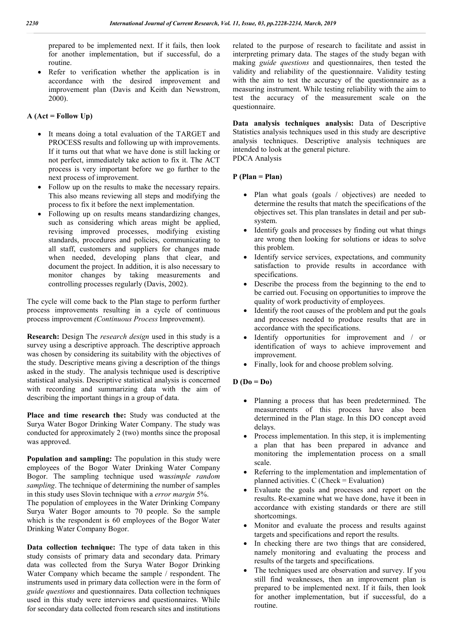prepared to be implemented next. If it fails, then look for another implementation, but if successful, do a routine.

 Refer to verification whether the application is in accordance with the desired improvement and improvement plan (Davis and Keith dan Newstrom, 2000).

## **A (Act = Follow Up)**

- It means doing a total evaluation of the TARGET and PROCESS results and following up with improvements. If it turns out that what we have done is still lacking or not perfect, immediately take action to fix it. The ACT process is very important before we go further to the next process of improvement.
- Follow up on the results to make the necessary repairs. This also means reviewing all steps and modifying the process to fix it before the next implementation.
- Following up on results means standardizing changes, such as considering which areas might be applied, revising improved processes, modifying existing standards, procedures and policies, communicating to all staff, customers and suppliers for changes made when needed, developing plans that clear, and document the project. In addition, it is also necessary to monitor changes by taking measurements and controlling processes regularly (Davis, 2002).

The cycle will come back to the Plan stage to perform further process improvements resulting in a cycle of continuous process improvement *(Continuous Process* Improvement).

**Research:** Design The *research design* used in this study is a survey using a descriptive approach. The descriptive approach was chosen by considering its suitability with the objectives of the study. Descriptive means giving a description of the things asked in the study. The analysis technique used is descriptive statistical analysis. Descriptive statistical analysis is concerned with recording and summarizing data with the aim of describing the important things in a group of data.

**Place and time research the:** Study was conducted at the Surya Water Bogor Drinking Water Company. The study was conducted for approximately 2 (two) months since the proposal was approved.

**Population and sampling:** The population in this study were employees of the Bogor Water Drinking Water Company Bogor. The sampling technique used was*simple random sampling*. The technique of determining the number of samples in this study uses Slovin technique with a *error margin* 5%.

The population of employees in the Water Drinking Company Surya Water Bogor amounts to 70 people. So the sample which is the respondent is 60 employees of the Bogor Water Drinking Water Company Bogor.

**Data collection technique:** The type of data taken in this study consists of primary data and secondary data. Primary data was collected from the Surya Water Bogor Drinking Water Company which became the sample / respondent. The instruments used in primary data collection were in the form of *guide questions* and questionnaires. Data collection techniques used in this study were interviews and questionnaires. While for secondary data collected from research sites and institutions related to the purpose of research to facilitate and assist in interpreting primary data. The stages of the study began with making *guide questions* and questionnaires, then tested the validity and reliability of the questionnaire. Validity testing with the aim to test the accuracy of the questionnaire as a measuring instrument. While testing reliability with the aim to test the accuracy of the measurement scale on the questionnaire.

**Data analysis techniques analysis:** Data of Descriptive Statistics analysis techniques used in this study are descriptive analysis techniques. Descriptive analysis techniques are intended to look at the general picture. PDCA Analysis

## **P (Plan = Plan)**

- Plan what goals (goals / objectives) are needed to determine the results that match the specifications of the objectives set. This plan translates in detail and per subsystem.
- Identify goals and processes by finding out what things are wrong then looking for solutions or ideas to solve this problem.
- Identify service services, expectations, and community satisfaction to provide results in accordance with specifications.
- Describe the process from the beginning to the end to be carried out. Focusing on opportunities to improve the quality of work productivity of employees.
- Identify the root causes of the problem and put the goals and processes needed to produce results that are in accordance with the specifications.
- Identify opportunities for improvement and / or identification of ways to achieve improvement and improvement.
- Finally, look for and choose problem solving.

# **D (Do = Do)**

- Planning a process that has been predetermined. The measurements of this process have also been determined in the Plan stage. In this DO concept avoid delays.
- Process implementation. In this step, it is implementing a plan that has been prepared in advance and monitoring the implementation process on a small scale.
- Referring to the implementation and implementation of planned activities. C (Check = Evaluation)
- Evaluate the goals and processes and report on the results. Re-examine what we have done, have it been in accordance with existing standards or there are still shortcomings.
- Monitor and evaluate the process and results against targets and specifications and report the results.
- In checking there are two things that are considered, namely monitoring and evaluating the process and results of the targets and specifications.
- The techniques used are observation and survey. If you still find weaknesses, then an improvement plan is prepared to be implemented next. If it fails, then look for another implementation, but if successful, do a routine.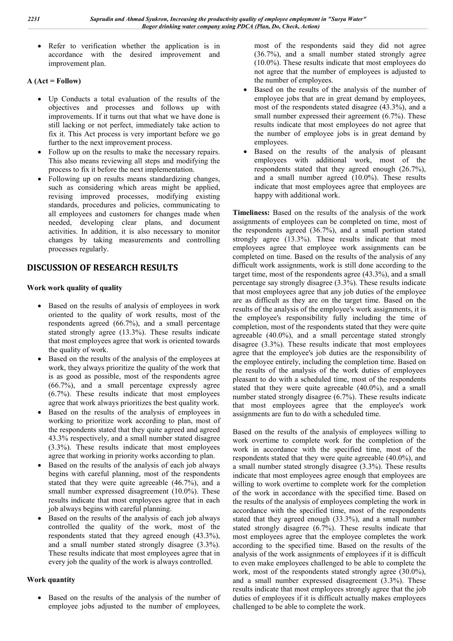Refer to verification whether the application is in accordance with the desired improvement and improvement plan.

# **A (Act = Follow)**

- Up Conducts a total evaluation of the results of the objectives and processes and follows up with improvements. If it turns out that what we have done is still lacking or not perfect, immediately take action to fix it. This Act process is very important before we go further to the next improvement process.
- Follow up on the results to make the necessary repairs. This also means reviewing all steps and modifying the process to fix it before the next implementation.
- Following up on results means standardizing changes, such as considering which areas might be applied, revising improved processes, modifying existing standards, procedures and policies, communicating to all employees and customers for changes made when needed, developing clear plans, and document activities. In addition, it is also necessary to monitor changes by taking measurements and controlling processes regularly.

# **DISCUSSION OF RESEARCH RESULTS**

## **Work work quality of quality**

- Based on the results of analysis of employees in work oriented to the quality of work results, most of the respondents agreed (66.7%), and a small percentage stated strongly agree (13.3%). These results indicate that most employees agree that work is oriented towards the quality of work.
- Based on the results of the analysis of the employees at work, they always prioritize the quality of the work that is as good as possible, most of the respondents agree (66.7%), and a small percentage expressly agree (6.7%). These results indicate that most employees agree that work always prioritizes the best quality work.
- Based on the results of the analysis of employees in working to prioritize work according to plan, most of the respondents stated that they quite agreed and agreed 43.3% respectively, and a small number stated disagree (3.3%). These results indicate that most employees agree that working in priority works according to plan.
- Based on the results of the analysis of each job always begins with careful planning, most of the respondents stated that they were quite agreeable (46.7%), and a small number expressed disagreement (10.0%). These results indicate that most employees agree that in each job always begins with careful planning.
- Based on the results of the analysis of each job always controlled the quality of the work, most of the respondents stated that they agreed enough (43.3%), and a small number stated strongly disagree (3.3%). These results indicate that most employees agree that in every job the quality of the work is always controlled.

# **Work quantity**

• Based on the results of the analysis of the number of employee jobs adjusted to the number of employees,

most of the respondents said they did not agree (36.7%), and a small number stated strongly agree (10.0%). These results indicate that most employees do not agree that the number of employees is adjusted to the number of employees.

- Based on the results of the analysis of the number of employee jobs that are in great demand by employees, most of the respondents stated disagree (43.3%), and a small number expressed their agreement (6.7%). These results indicate that most employees do not agree that the number of employee jobs is in great demand by employees.
- Based on the results of the analysis of pleasant employees with additional work, most of the respondents stated that they agreed enough (26.7%), and a small number agreed (10.0%). These results indicate that most employees agree that employees are happy with additional work.

**Timeliness:** Based on the results of the analysis of the work assignments of employees can be completed on time, most of the respondents agreed (36.7%), and a small portion stated strongly agree (13.3%). These results indicate that most employees agree that employee work assignments can be completed on time. Based on the results of the analysis of any difficult work assignments, work is still done according to the target time, most of the respondents agree (43.3%), and a small percentage say strongly disagree (3.3%). These results indicate that most employees agree that any job duties of the employee are as difficult as they are on the target time. Based on the results of the analysis of the employee's work assignments, it is the employee's responsibility fully including the time of completion, most of the respondents stated that they were quite agreeable (40.0%), and a small percentage stated strongly disagree (3.3%). These results indicate that most employees agree that the employee's job duties are the responsibility of the employee entirely, including the completion time. Based on the results of the analysis of the work duties of employees pleasant to do with a scheduled time, most of the respondents stated that they were quite agreeable (40.0%), and a small number stated strongly disagree (6.7%). These results indicate that most employees agree that the employee's work assignments are fun to do with a scheduled time.

Based on the results of the analysis of employees willing to work overtime to complete work for the completion of the work in accordance with the specified time, most of the respondents stated that they were quite agreeable (40.0%), and a small number stated strongly disagree (3.3%). These results indicate that most employees agree enough that employees are willing to work overtime to complete work for the completion of the work in accordance with the specified time. Based on the results of the analysis of employees completing the work in accordance with the specified time, most of the respondents stated that they agreed enough (33.3%), and a small number stated strongly disagree (6.7%). These results indicate that most employees agree that the employee completes the work according to the specified time. Based on the results of the analysis of the work assignments of employees if it is difficult to even make employees challenged to be able to complete the work, most of the respondents stated strongly agree (30.0%), and a small number expressed disagreement (3.3%). These results indicate that most employees strongly agree that the job duties of employees if it is difficult actually makes employees challenged to be able to complete the work.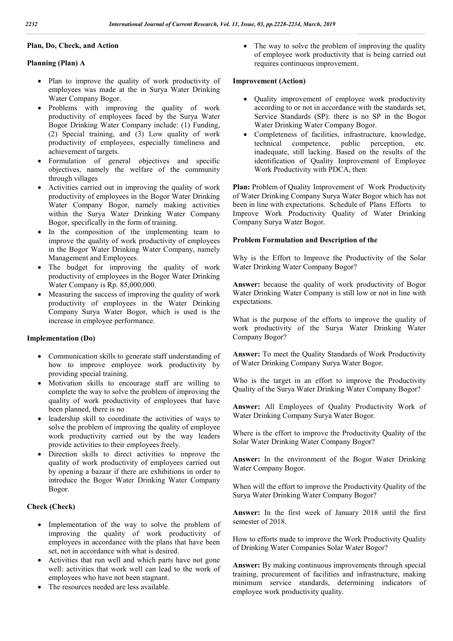#### **Plan, Do, Check, and Action**

#### **Planning (Plan) A**

- Plan to improve the quality of work productivity of employees was made at the in Surya Water Drinking Water Company Bogor.
- Problems with improving the quality of work productivity of employees faced by the Surya Water Bogor Drinking Water Company include: (1) Funding, (2) Special training, and (3) Low quality of work productivity of employees, especially timeliness and achievement of targets.
- Formulation of general objectives and specific objectives, namely the welfare of the community through villages
- Activities carried out in improving the quality of work productivity of employees in the Bogor Water Drinking Water Company Bogor, namely making activities within the Surya Water Drinking Water Company Bogor, specifically in the form of training.
- In the composition of the implementing team to improve the quality of work productivity of employees in the Bogor Water Drinking Water Company, namely Management and Employees.
- The budget for improving the quality of work productivity of employees in the Bogor Water Drinking Water Company is Rp. 85,000,000.
- Measuring the success of improving the quality of work productivity of employees in the Water Drinking Company Surya Water Bogor, which is used is the increase in employee performance.

#### **Implementation (Do)**

- Communication skills to generate staff understanding of how to improve employee work productivity by providing special training.
- Motivation skills to encourage staff are willing to complete the way to solve the problem of improving the quality of work productivity of employees that have been planned, there is no
- leadership skill to coordinate the activities of ways to solve the problem of improving the quality of employee work productivity carried out by the way leaders provide activities to their employees freely.
- Direction skills to direct activities to improve the quality of work productivity of employees carried out by opening a bazaar if there are exhibitions in order to introduce the Bogor Water Drinking Water Company Bogor.

#### **Check (Check)**

- Implementation of the way to solve the problem of improving the quality of work productivity of employees in accordance with the plans that have been set, not in accordance with what is desired.
- Activities that run well and which parts have not gone well: activities that work well can lead to the work of employees who have not been stagnant.
- The resources needed are less available.

• The way to solve the problem of improving the quality of employee work productivity that is being carried out requires continuous improvement.

#### **Improvement (Action)**

- Quality improvement of employee work productivity according to or not in accordance with the standards set, Service Standards (SP): there is no SP in the Bogor Water Drinking Water Company Bogor.
- Completeness of facilities, infrastructure, knowledge, technical competence, public perception, etc. inadequate, still lacking. Based on the results of the identification of Quality Improvement of Employee Work Productivity with PDCA, then:

Plan: Problem of Quality Improvement of Work Productivity of Water Drinking Company Surya Water Bogor which has not been in line with expectations. Schedule of Plans Efforts to Improve Work Productivity Quality of Water Drinking Company Surya Water Bogor.

#### **Problem Formulation and Description of the**

Why is the Effort to Improve the Productivity of the Solar Water Drinking Water Company Bogor?

**Answer:** because the quality of work productivity of Bogor Water Drinking Water Company is still low or not in line with expectations.

What is the purpose of the efforts to improve the quality of work productivity of the Surya Water Drinking Water Company Bogor?

**Answer:** To meet the Quality Standards of Work Productivity of Water Drinking Company Surya Water Bogor.

Who is the target in an effort to improve the Productivity Quality of the Surya Water Drinking Water Company Bogor?

**Answer:** All Employees of Quality Productivity Work of Water Drinking Company Surya Water Bogor.

Where is the effort to improve the Productivity Quality of the Solar Water Drinking Water Company Bogor?

**Answer:** In the environment of the Bogor Water Drinking Water Company Bogor.

When will the effort to improve the Productivity Quality of the Surya Water Drinking Water Company Bogor?

**Answer:** In the first week of January 2018 until the first semester of 2018.

How to efforts made to improve the Work Productivity Quality of Drinking Water Companies Solar Water Bogor?

**Answer:** By making continuous improvements through special training, procurement of facilities and infrastructure, making minimum service standards, determining indicators of employee work productivity quality.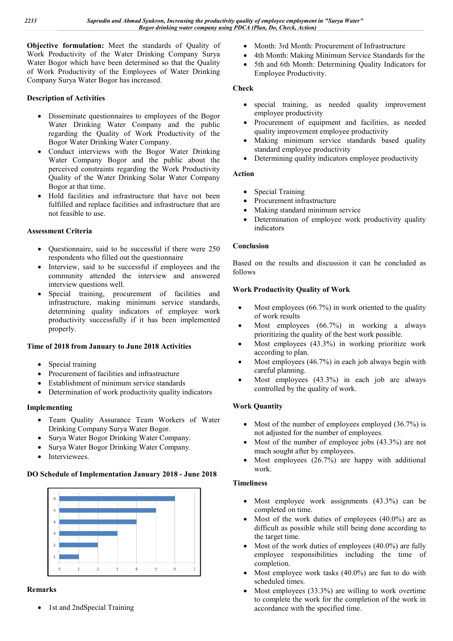**Objective formulation:** Meet the standards of Quality of Work Productivity of the Water Drinking Company Surya Water Bogor which have been determined so that the Quality of Work Productivity of the Employees of Water Drinking Company Surya Water Bogor has increased.

# **Description of Activities**

- Disseminate questionnaires to employees of the Bogor Water Drinking Water Company and the public regarding the Quality of Work Productivity of the Bogor Water Drinking Water Company.
- Conduct interviews with the Bogor Water Drinking Water Company Bogor and the public about the perceived constraints regarding the Work Productivity Quality of the Water Drinking Solar Water Company Bogor at that time. ompany Bogor and the public about the<br>
constraints regarding the Work Productivity<br>
of the Water Drinking Solar Water Company<br>
that time.<br>
lilities and infrastructure that have not been<br>
and replace facilities and infrastr
- Hold facilities and infrastructure that have not been fulfilled and replace facilities and infrastructure that are not feasible to use.

# **Assessment Criteria**

- Questionnaire, said to be successful if there were 250 respondents who filled out the questionnaire
- Interview, said to be successful if employees and the community attended the interview and answered interview questions well.
- Special training, procurement of facilities and infrastructure, making minimum service standards, determining quality indicators of employee work productivity successfully if it has been implemented properly.

# **Time of 2018 from January to June 2018 Activities**

- Special training
- Procurement of facilities and infrastructure
- Establishment of minimum service standards
- Determination of work productivity quality indicators

# **Implementing**

- Team Quality Assurance Team Workers of Water Drinking Company Surya Water Bogor.
- Surya Water Bogor Drinking Water Company.
- Surya Water Bogor Drinking Water Company.
- Interviewees.

#### **DO Schedule of Implementation January 2018 - June 2018**



# **Remarks**

• 1st and 2ndSpecial Training

- Month: 3rd Month: Procurement of Infrastructure
- 4th Month: Making Minimum Service Standards for the
- 5th and 6th Month: Determining Quality Indicators for Employee Productivity. 4th Month: Making Minimum Service Standards for the<br>5th and 6th Month: Determining Quality Indicators for<br>Employee Productivity.<br>special training, as needed quality improvement<br>employee productivity<br>Procurement of equipmen

#### **Check**

- special training, as needed quality improvement employee productivity
- Procurement of equipment and facilities, as needed quality improvement employee productivity
- Making minimum service standards based quality standard employee productivity
- Determining quality indicators employee productivity

## **Action**

- Special Training
- Procurement infrastructure
- Making standard minimum service
- Determination of employee work productivity quality indicators

## **Conclusion**

Based on the results and discussion it can be concluded as follows

#### **Work Productivity Quality of Work**

- Most employees (66.7%) in work oriented to the quality of work results
- Most employees (66.7%) in working a always prioritizing the quality of the best work possible.
- Most employees (43.3%) in working prioritize work according to plan.
- Most employees (46.7%) in each job always begin with careful planning.
- Most employees (43.3%) in each job are always controlled by the quality of work.

# **Work Quantity**

- Most of the number of employees employed  $(36.7%)$  is not adjusted for the number of employees.
- Most of the number of employee jobs (43.3%) are not much sought after by employees.
- Most employees (26.7%) are happy with additional work.

#### **Timeliness**

- Most employee work assignments (43.3%) can be completed on time.
- Most of the work duties of employees (40.0%) are as difficult as possible while still being done according to the target time. mathy of manhore emphasion "Surra Water"<br>
And Month: Procurement of Infrastructure<br>
And Month: Not Month: Procurement of Infrastructure<br>
And Month: Not Month: Procurement of Infrastructure<br>
Exhault Month: Month: Determini
- Most of the work duties of employees (40.0%) are fully employee responsibilities including the time of completion.
- Most employee work tasks (40.0%) are fun to do with scheduled times.
- Most employees (33.3%) are willing to work overtime to complete the work for the completion of the work in accordance with the specified time.